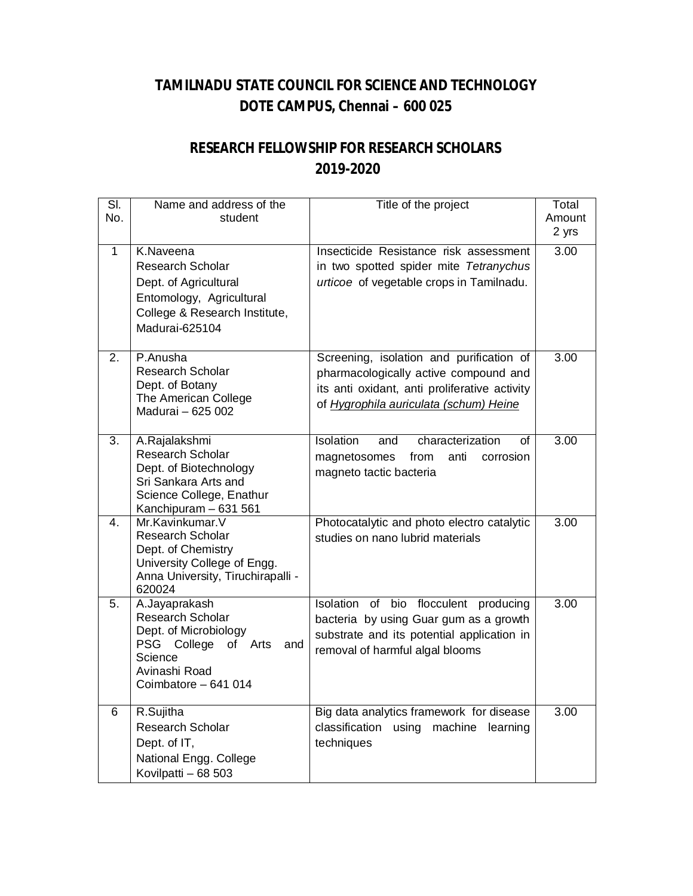## **TAMILNADU STATE COUNCIL FOR SCIENCE AND TECHNOLOGY DOTE CAMPUS, Chennai – 600 025**

## **RESEARCH FELLOWSHIP FOR RESEARCH SCHOLARS 2019-2020**

| SI.<br>No.   | Name and address of the<br>student                                                                                                             | Title of the project                                                                                                                                                         | Total<br>Amount<br>2 yrs |
|--------------|------------------------------------------------------------------------------------------------------------------------------------------------|------------------------------------------------------------------------------------------------------------------------------------------------------------------------------|--------------------------|
| $\mathbf{1}$ | K.Naveena<br><b>Research Scholar</b><br>Dept. of Agricultural<br>Entomology, Agricultural<br>College & Research Institute,<br>Madurai-625104   | Insecticide Resistance risk assessment<br>in two spotted spider mite Tetranychus<br>urticoe of vegetable crops in Tamilnadu.                                                 | 3.00                     |
| 2.           | P.Anusha<br>Research Scholar<br>Dept. of Botany<br>The American College<br>Madurai - 625 002                                                   | Screening, isolation and purification of<br>pharmacologically active compound and<br>its anti oxidant, anti proliferative activity<br>of Hygrophila auriculata (schum) Heine | 3.00                     |
| 3.           | A.Rajalakshmi<br>Research Scholar<br>Dept. of Biotechnology<br>Sri Sankara Arts and<br>Science College, Enathur<br>Kanchipuram - 631 561       | Isolation<br>characterization<br>and<br>οf<br>from<br>anti<br>magnetosomes<br>corrosion<br>magneto tactic bacteria                                                           | 3.00                     |
| 4.           | Mr.Kavinkumar.V<br><b>Research Scholar</b><br>Dept. of Chemistry<br>University College of Engg.<br>Anna University, Tiruchirapalli -<br>620024 | Photocatalytic and photo electro catalytic<br>studies on nano lubrid materials                                                                                               | 3.00                     |
| 5.           | A.Jayaprakash<br>Research Scholar<br>Dept. of Microbiology<br>PSG College of Arts<br>and<br>Science<br>Avinashi Road<br>Coimbatore - 641 014   | Isolation of bio flocculent producing<br>bacteria by using Guar gum as a growth<br>substrate and its potential application in<br>removal of harmful algal blooms             | 3.00                     |
| 6            | R.Sujitha<br>Research Scholar<br>Dept. of IT,<br>National Engg. College<br>Kovilpatti - 68 503                                                 | Big data analytics framework for disease<br>classification using<br>machine<br>learning<br>techniques                                                                        | 3.00                     |